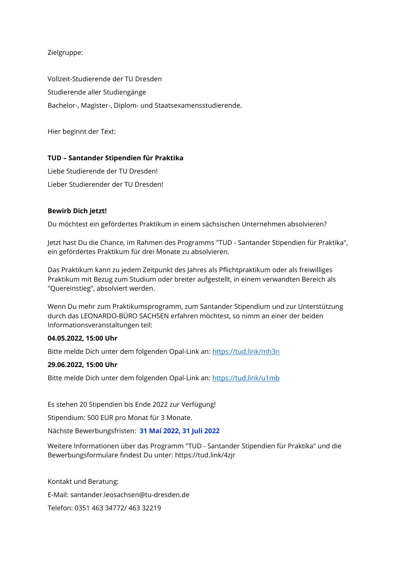Zielgruppe:

Vollzeit-Studierende der TU Dresden Studierende aller Studiengänge Bachelor-, Magister-, Diplom- und Staatsexamensstudierende.

Hier beginnt der Text:

# **TUD – Santander Stipendien für Praktika**

Liebe Studierende der TU Dresden! Lieber Studierender der TU Dresden!

# **Bewirb Dich jetzt!**

Du möchtest ein gefördertes Praktikum in einem sächsischen Unternehmen absolvieren?

Jetzt hast Du die Chance, im Rahmen des Programms "TUD - Santander Stipendien für Praktika", ein gefördertes Praktikum für drei Monate zu absolvieren.

Das Praktikum kann zu jedem Zeitpunkt des Jahres als Pflichtpraktikum oder als freiwilliges Praktikum mit Bezug zum Studium oder breiter aufgestellt, in einem verwandten Bereich als "Quereinstieg", absolviert werden.

Wenn Du mehr zum Praktikumsprogramm, zum Santander Stipendium und zur Unterstützung durch das LEONARDO-BÜRO SACHSEN erfahren möchtest, so nimm an einer der beiden Informationsveranstaltungen teil:

### **04.05.2022, 15:00 Uhr**

Bitte melde Dich unter dem folgenden Opal-Link an: <https://tud.link/mh3n>

# **29.06.2022, 15:00 Uhr**

Bitte melde Dich unter dem folgenden Opal-Link an:<https://tud.link/u1mb>

Es stehen 20 Stipendien bis Ende 2022 zur Verfügung!

Stipendium: 500 EUR pro Monat für 3 Monate.

Nächste Bewerbungsfristen: **31 Mai 2022, 31 Juli 2022** 

Weitere Informationen über das Programm "TUD - Santander Stipendien für Praktika" und die Bewerbungsformulare findest Du unter:<https://tud.link/4zjr>

Kontakt und Beratung:

E-Mail: santander.leosachsen@tu-dresden.de

Telefon: 0351 463 34772/ 463 32219